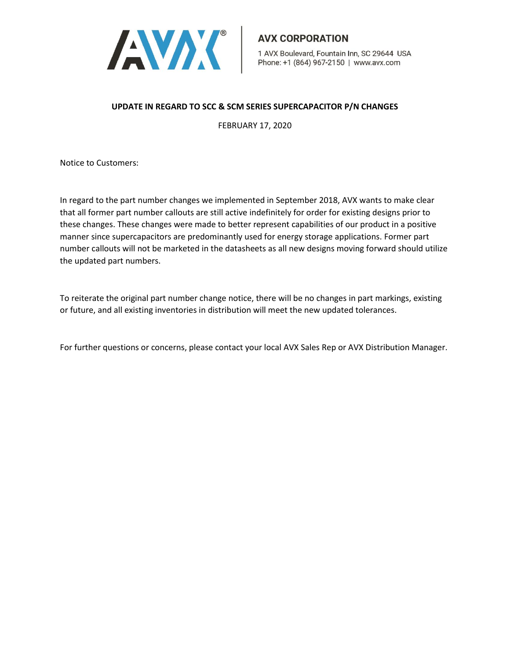

## **UPDATE IN REGARD TO SCC & SCM SERIES SUPERCAPACITOR P/N CHANGES**

FEBRUARY 17, 2020

Notice to Customers:

In regard to the part number changes we implemented in September 2018, AVX wants to make clear that all former part number callouts are still active indefinitely for order for existing designs prior to these changes. These changes were made to better represent capabilities of our product in a positive manner since supercapacitors are predominantly used for energy storage applications. Former part number callouts will not be marketed in the datasheets as all new designs moving forward should utilize the updated part numbers.

To reiterate the original part number change notice, there will be no changes in part markings, existing or future, and all existing inventories in distribution will meet the new updated tolerances.

For further questions or concerns, please contact your local AVX Sales Rep or AVX Distribution Manager.